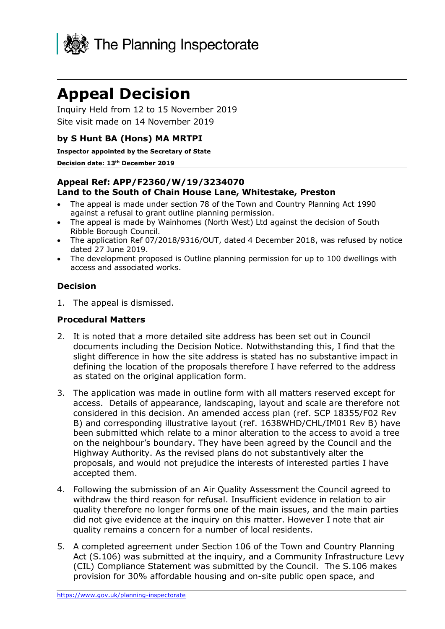

# **Appeal Decision**

Inquiry Held from 12 to 15 November 2019 Site visit made on 14 November 2019

### **by S Hunt BA (Hons) MA MRTPI**

**Inspector appointed by the Secretary of State**

#### **Decision date: 13th December 2019**

#### **Appeal Ref: APP/F2360/W/19/3234070 Land to the South of Chain House Lane, Whitestake, Preston**

- The appeal is made under section 78 of the Town and Country Planning Act 1990 against a refusal to grant outline planning permission.
- The appeal is made by Wainhomes (North West) Ltd against the decision of South Ribble Borough Council.
- The application Ref 07/2018/9316/OUT, dated 4 December 2018, was refused by notice dated 27 June 2019.
- The development proposed is Outline planning permission for up to 100 dwellings with access and associated works.

#### **Decision**

1. The appeal is dismissed.

#### **Procedural Matters**

- 2. It is noted that a more detailed site address has been set out in Council documents including the Decision Notice. Notwithstanding this, I find that the slight difference in how the site address is stated has no substantive impact in defining the location of the proposals therefore I have referred to the address as stated on the original application form.
- 3. The application was made in outline form with all matters reserved except for access. Details of appearance, landscaping, layout and scale are therefore not considered in this decision. An amended access plan (ref. SCP 18355/F02 Rev B) and corresponding illustrative layout (ref. 1638WHD/CHL/IM01 Rev B) have been submitted which relate to a minor alteration to the access to avoid a tree on the neighbour's boundary. They have been agreed by the Council and the Highway Authority. As the revised plans do not substantively alter the proposals, and would not prejudice the interests of interested parties I have accepted them.
- 4. Following the submission of an Air Quality Assessment the Council agreed to withdraw the third reason for refusal. Insufficient evidence in relation to air quality therefore no longer forms one of the main issues, and the main parties did not give evidence at the inquiry on this matter. However I note that air quality remains a concern for a number of local residents.
- 5. A completed agreement under Section 106 of the Town and Country Planning Act (S.106) was submitted at the inquiry, and a Community Infrastructure Levy (CIL) Compliance Statement was submitted by the Council. The S.106 makes provision for 30% affordable housing and on-site public open space, and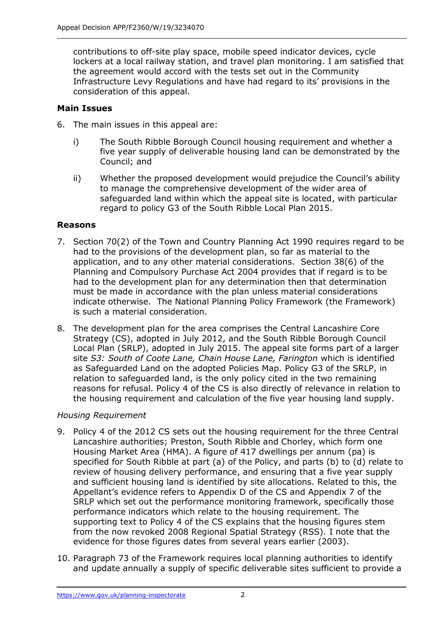contributions to off-site play space, mobile speed indicator devices, cycle lockers at a local railway station, and travel plan monitoring. I am satisfied that the agreement would accord with the tests set out in the Community Infrastructure Levy Regulations and have had regard to its' provisions in the consideration of this appeal.

### **Main Issues**

6. The main issues in this appeal are:

- i) The South Ribble Borough Council housing requirement and whether a five year supply of deliverable housing land can be demonstrated by the Council; and
- ii) Whether the proposed development would prejudice the Council's ability to manage the comprehensive development of the wider area of safeguarded land within which the appeal site is located, with particular regard to policy G3 of the South Ribble Local Plan 2015.

#### **Reasons**

- 7. Section 70(2) of the Town and Country Planning Act 1990 requires regard to be had to the provisions of the development plan, so far as material to the application, and to any other material considerations. Section 38(6) of the Planning and Compulsory Purchase Act 2004 provides that if regard is to be had to the development plan for any determination then that determination must be made in accordance with the plan unless material considerations indicate otherwise. The National Planning Policy Framework (the Framework) is such a material consideration.
- 8. The development plan for the area comprises the Central Lancashire Core Strategy (CS), adopted in July 2012, and the South Ribble Borough Council Local Plan (SRLP), adopted in July 2015. The appeal site forms part of a larger site *S3: South of Coote Lane, Chain House Lane, Farington* which is identified as Safeguarded Land on the adopted Policies Map. Policy G3 of the SRLP, in relation to safeguarded land, is the only policy cited in the two remaining reasons for refusal. Policy 4 of the CS is also directly of relevance in relation to the housing requirement and calculation of the five year housing land supply.

## *Housing Requirement*

- 9. Policy 4 of the 2012 CS sets out the housing requirement for the three Central Lancashire authorities; Preston, South Ribble and Chorley, which form one Housing Market Area (HMA). A figure of 417 dwellings per annum (pa) is specified for South Ribble at part (a) of the Policy, and parts (b) to (d) relate to review of housing delivery performance, and ensuring that a five year supply and sufficient housing land is identified by site allocations. Related to this, the Appellant's evidence refers to Appendix D of the CS and Appendix 7 of the SRLP which set out the performance monitoring framework, specifically those performance indicators which relate to the housing requirement. The supporting text to Policy 4 of the CS explains that the housing figures stem from the now revoked 2008 Regional Spatial Strategy (RSS). I note that the evidence for those figures dates from several years earlier (2003).
- 10. Paragraph 73 of the Framework requires local planning authorities to identify and update annually a supply of specific deliverable sites sufficient to provide a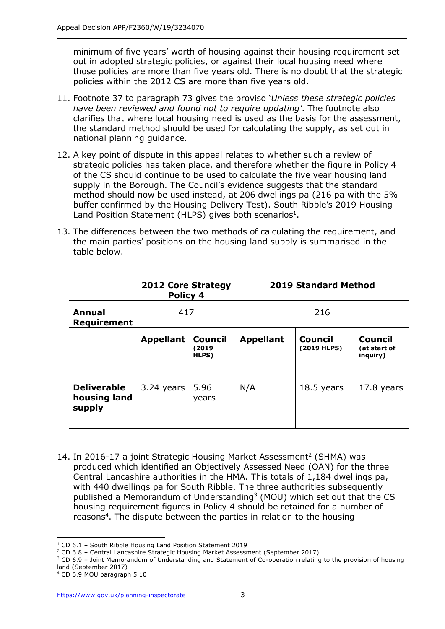minimum of five years' worth of housing against their housing requirement set out in adopted strategic policies, or against their local housing need where those policies are more than five years old. There is no doubt that the strategic policies within the 2012 CS are more than five years old.

- 11. Footnote 37 to paragraph 73 gives the proviso '*Unless these strategic policies have been reviewed and found not to require updating'*. The footnote also clarifies that where local housing need is used as the basis for the assessment, the standard method should be used for calculating the supply, as set out in national planning guidance.
- 12. A key point of dispute in this appeal relates to whether such a review of strategic policies has taken place, and therefore whether the figure in Policy 4 of the CS should continue to be used to calculate the five year housing land supply in the Borough. The Council's evidence suggests that the standard method should now be used instead, at 206 dwellings pa (216 pa with the 5% buffer confirmed by the Housing Delivery Test). South Ribble's 2019 Housing Land Position Statement (HLPS) gives both scenarios<sup>1</sup>.
- 13. The differences between the two methods of calculating the requirement, and the main parties' positions on the housing land supply is summarised in the table below.

|                                              | <b>2012 Core Strategy</b><br>Policy 4 |                                  | <b>2019 Standard Method</b> |                               |                                            |
|----------------------------------------------|---------------------------------------|----------------------------------|-----------------------------|-------------------------------|--------------------------------------------|
| <b>Annual</b><br>Requirement                 | 417                                   |                                  | 216                         |                               |                                            |
|                                              | <b>Appellant</b>                      | <b>Council</b><br>(2019<br>HLPS) | <b>Appellant</b>            | <b>Council</b><br>(2019 HLPS) | <b>Council</b><br>(at start of<br>inguiry) |
| <b>Deliverable</b><br>housing land<br>supply | 3.24 years $  5.96$                   | years                            | N/A                         | $18.5$ years                  | 17.8 years                                 |

14. In 2016-17 a joint Strategic Housing Market Assessment 2 (SHMA) was produced which identified an Objectively Assessed Need (OAN) for the three Central Lancashire authorities in the HMA. This totals of 1,184 dwellings pa, with 440 dwellings pa for South Ribble. The three authorities subsequently published a Memorandum of Understanding<sup>3</sup> (MOU) which set out that the CS housing requirement figures in Policy 4 should be retained for a number of reasons<sup>4</sup>. The dispute between the parties in relation to the housing

 $\overline{a}$ 

<sup>1</sup> CD 6.1 – South Ribble Housing Land Position Statement 2019

<sup>2</sup> CD 6.8 – Central Lancashire Strategic Housing Market Assessment (September 2017)

<sup>&</sup>lt;sup>3</sup> CD 6.9 - Joint Memorandum of Understanding and Statement of Co-operation relating to the provision of housing land (September 2017)

<sup>4</sup> CD 6.9 MOU paragraph 5.10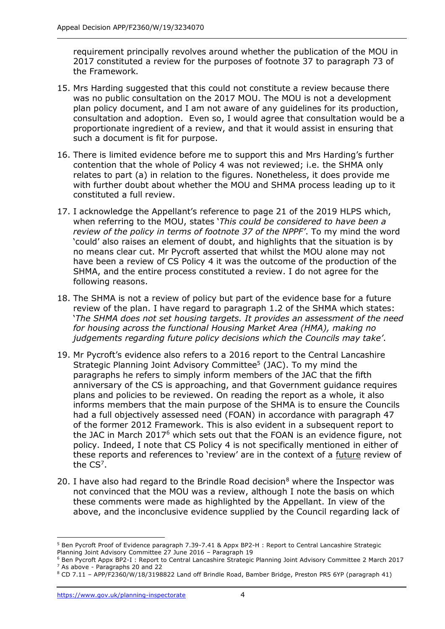requirement principally revolves around whether the publication of the MOU in 2017 constituted a review for the purposes of footnote 37 to paragraph 73 of the Framework.

- 15. Mrs Harding suggested that this could not constitute a review because there was no public consultation on the 2017 MOU. The MOU is not a development plan policy document, and I am not aware of any guidelines for its production, consultation and adoption. Even so, I would agree that consultation would be a proportionate ingredient of a review, and that it would assist in ensuring that such a document is fit for purpose.
- 16. There is limited evidence before me to support this and Mrs Harding's further contention that the whole of Policy 4 was not reviewed; i.e. the SHMA only relates to part (a) in relation to the figures. Nonetheless, it does provide me with further doubt about whether the MOU and SHMA process leading up to it constituted a full review.
- 17. I acknowledge the Appellant's reference to page 21 of the 2019 HLPS which, when referring to the MOU, states '*This could be considered to have been a review of the policy in terms of footnote 37 of the NPPF'*. To my mind the word 'could' also raises an element of doubt, and highlights that the situation is by no means clear cut. Mr Pycroft asserted that whilst the MOU alone may not have been a review of CS Policy 4 it was the outcome of the production of the SHMA, and the entire process constituted a review. I do not agree for the following reasons.
- 18. The SHMA is not a review of policy but part of the evidence base for a future review of the plan. I have regard to paragraph 1.2 of the SHMA which states: '*The SHMA does not set housing targets. It provides an assessment of the need for housing across the functional Housing Market Area (HMA), making no judgements regarding future policy decisions which the Councils may take'*.
- 19. Mr Pycroft's evidence also refers to a 2016 report to the Central Lancashire Strategic Planning Joint Advisory Committee<sup>5</sup> (JAC). To my mind the paragraphs he refers to simply inform members of the JAC that the fifth anniversary of the CS is approaching, and that Government guidance requires plans and policies to be reviewed. On reading the report as a whole, it also informs members that the main purpose of the SHMA is to ensure the Councils had a full objectively assessed need (FOAN) in accordance with paragraph 47 of the former 2012 Framework. This is also evident in a subsequent report to the JAC in March 2017<sup>6</sup> which sets out that the FOAN is an evidence figure, not policy. Indeed, I note that CS Policy 4 is not specifically mentioned in either of these reports and references to 'review' are in the context of a future review of the  $CS^7$ .
- 20. I have also had regard to the Brindle Road decision<sup>8</sup> where the Inspector was not convinced that the MOU was a review, although I note the basis on which these comments were made as highlighted by the Appellant. In view of the above, and the inconclusive evidence supplied by the Council regarding lack of

 $\overline{a}$ 

<sup>5</sup> Ben Pycroft Proof of Evidence paragraph 7.39-7.41 & Appx BP2-H : Report to Central Lancashire Strategic Planning Joint Advisory Committee 27 June 2016 – Paragraph 19

<sup>6</sup> Ben Pycroft Appx BP2-I : Report to Central Lancashire Strategic Planning Joint Advisory Committee 2 March 2017 <sup>7</sup> As above - Paragraphs 20 and 22

<sup>8</sup> CD 7.11 – APP/F2360/W/18/3198822 Land off Brindle Road, Bamber Bridge, Preston PR5 6YP (paragraph 41)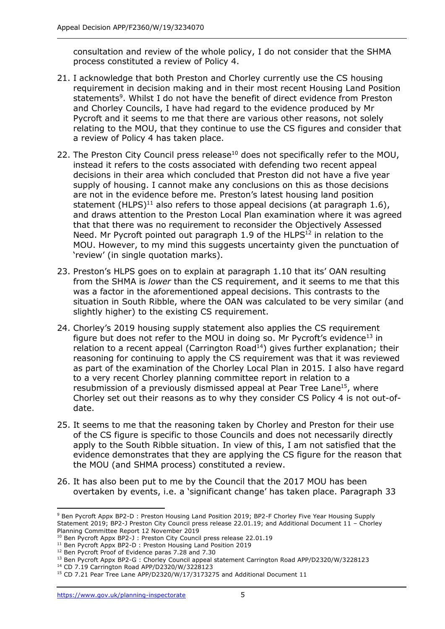consultation and review of the whole policy, I do not consider that the SHMA process constituted a review of Policy 4.

- 21. I acknowledge that both Preston and Chorley currently use the CS housing requirement in decision making and in their most recent Housing Land Position statements<sup>9</sup>. Whilst I do not have the benefit of direct evidence from Preston and Chorley Councils, I have had regard to the evidence produced by Mr Pycroft and it seems to me that there are various other reasons, not solely relating to the MOU, that they continue to use the CS figures and consider that a review of Policy 4 has taken place.
- 22. The Preston City Council press release<sup>10</sup> does not specifically refer to the MOU, instead it refers to the costs associated with defending two recent appeal decisions in their area which concluded that Preston did not have a five year supply of housing. I cannot make any conclusions on this as those decisions are not in the evidence before me. Preston's latest housing land position statement (HLPS)<sup>11</sup> also refers to those appeal decisions (at paragraph 1.6), and draws attention to the Preston Local Plan examination where it was agreed that that there was no requirement to reconsider the Objectively Assessed Need. Mr Pycroft pointed out paragraph 1.9 of the HLPS $^{12}$  in relation to the MOU. However, to my mind this suggests uncertainty given the punctuation of 'review' (in single quotation marks).
- 23. Preston's HLPS goes on to explain at paragraph 1.10 that its' OAN resulting from the SHMA is *lower* than the CS requirement, and it seems to me that this was a factor in the aforementioned appeal decisions. This contrasts to the situation in South Ribble, where the OAN was calculated to be very similar (and slightly higher) to the existing CS requirement.
- 24. Chorley's 2019 housing supply statement also applies the CS requirement figure but does not refer to the MOU in doing so. Mr Pycroft's evidence<sup>13</sup> in relation to a recent appeal (Carrington Road $^{14}$ ) gives further explanation; their reasoning for continuing to apply the CS requirement was that it was reviewed as part of the examination of the Chorley Local Plan in 2015. I also have regard to a very recent Chorley planning committee report in relation to a resubmission of a previously dismissed appeal at Pear Tree Lane<sup>15</sup>, where Chorley set out their reasons as to why they consider CS Policy 4 is not out-ofdate.
- 25. It seems to me that the reasoning taken by Chorley and Preston for their use of the CS figure is specific to those Councils and does not necessarily directly apply to the South Ribble situation. In view of this, I am not satisfied that the evidence demonstrates that they are applying the CS figure for the reason that the MOU (and SHMA process) constituted a review.
- 26. It has also been put to me by the Council that the 2017 MOU has been overtaken by events, i.e. a 'significant change' has taken place. Paragraph 33

-

<sup>9</sup> Ben Pycroft Appx BP2-D : Preston Housing Land Position 2019; BP2-F Chorley Five Year Housing Supply Statement 2019; BP2-J Preston City Council press release 22.01.19; and Additional Document 11 – Chorley Planning Committee Report 12 November 2019

<sup>&</sup>lt;sup>10</sup> Ben Pycroft Appx BP2-J : Preston City Council press release 22.01.19

<sup>&</sup>lt;sup>11</sup> Ben Pycroft Appx BP2-D : Preston Housing Land Position 2019

<sup>&</sup>lt;sup>12</sup> Ben Pycroft Proof of Evidence paras 7.28 and 7.30

<sup>&</sup>lt;sup>13</sup> Ben Pycroft Appx BP2-G : Chorley Council appeal statement Carrington Road APP/D2320/W/3228123

<sup>14</sup> CD 7.19 Carrington Road APP/D2320/W/3228123

<sup>&</sup>lt;sup>15</sup> CD 7.21 Pear Tree Lane APP/D2320/W/17/3173275 and Additional Document 11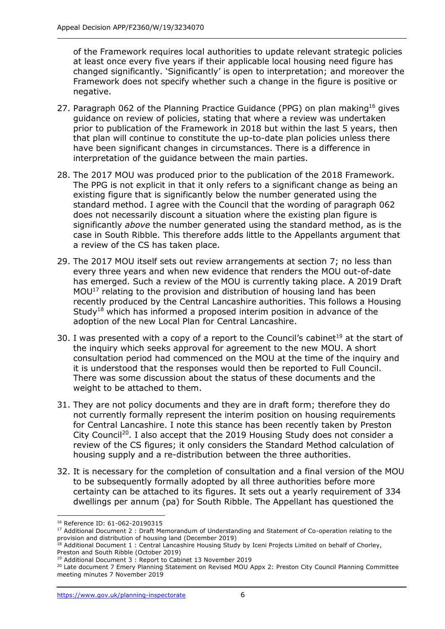of the Framework requires local authorities to update relevant strategic policies at least once every five years if their applicable local housing need figure has changed significantly. 'Significantly' is open to interpretation; and moreover the Framework does not specify whether such a change in the figure is positive or negative.

- 27. Paragraph 062 of the Planning Practice Guidance (PPG) on plan making<sup>16</sup> gives guidance on review of policies, stating that where a review was undertaken prior to publication of the Framework in 2018 but within the last 5 years, then that plan will continue to constitute the up-to-date plan policies unless there have been significant changes in circumstances. There is a difference in interpretation of the guidance between the main parties.
- 28. The 2017 MOU was produced prior to the publication of the 2018 Framework. The PPG is not explicit in that it only refers to a significant change as being an existing figure that is significantly below the number generated using the standard method. I agree with the Council that the wording of paragraph 062 does not necessarily discount a situation where the existing plan figure is significantly *above* the number generated using the standard method, as is the case in South Ribble. This therefore adds little to the Appellants argument that a review of the CS has taken place.
- 29. The 2017 MOU itself sets out review arrangements at section 7; no less than every three years and when new evidence that renders the MOU out-of-date has emerged. Such a review of the MOU is currently taking place. A 2019 Draft MOU<sup>17</sup> relating to the provision and distribution of housing land has been recently produced by the Central Lancashire authorities. This follows a Housing Study<sup>18</sup> which has informed a proposed interim position in advance of the adoption of the new Local Plan for Central Lancashire.
- 30. I was presented with a copy of a report to the Council's cabinet<sup>19</sup> at the start of the inquiry which seeks approval for agreement to the new MOU. A short consultation period had commenced on the MOU at the time of the inquiry and it is understood that the responses would then be reported to Full Council. There was some discussion about the status of these documents and the weight to be attached to them.
- 31. They are not policy documents and they are in draft form; therefore they do not currently formally represent the interim position on housing requirements for Central Lancashire. I note this stance has been recently taken by Preston City Council<sup>20</sup>. I also accept that the 2019 Housing Study does not consider a review of the CS figures; it only considers the Standard Method calculation of housing supply and a re-distribution between the three authorities.
- 32. It is necessary for the completion of consultation and a final version of the MOU to be subsequently formally adopted by all three authorities before more certainty can be attached to its figures. It sets out a yearly requirement of 334 dwellings per annum (pa) for South Ribble. The Appellant has questioned the

j

<sup>16</sup> Reference ID: 61-062-20190315

<sup>&</sup>lt;sup>17</sup> Additional Document 2 : Draft Memorandum of Understanding and Statement of Co-operation relating to the provision and distribution of housing land (December 2019)

 $18$  Additional Document 1 : Central Lancashire Housing Study by Iceni Projects Limited on behalf of Chorley, Preston and South Ribble (October 2019)

<sup>19</sup> Additional Document 3 : Report to Cabinet 13 November 2019

<sup>&</sup>lt;sup>20</sup> Late document 7 Emery Planning Statement on Revised MOU Appx 2: Preston City Council Planning Committee meeting minutes 7 November 2019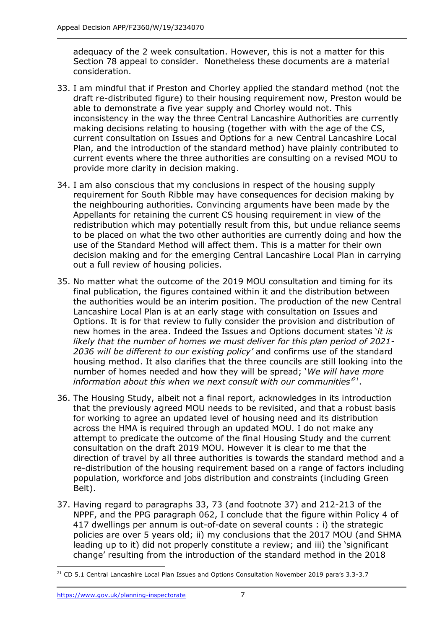adequacy of the 2 week consultation. However, this is not a matter for this Section 78 appeal to consider. Nonetheless these documents are a material consideration.

- 33. I am mindful that if Preston and Chorley applied the standard method (not the draft re-distributed figure) to their housing requirement now, Preston would be able to demonstrate a five year supply and Chorley would not. This inconsistency in the way the three Central Lancashire Authorities are currently making decisions relating to housing (together with with the age of the CS, current consultation on Issues and Options for a new Central Lancashire Local Plan, and the introduction of the standard method) have plainly contributed to current events where the three authorities are consulting on a revised MOU to provide more clarity in decision making.
- 34. I am also conscious that my conclusions in respect of the housing supply requirement for South Ribble may have consequences for decision making by the neighbouring authorities. Convincing arguments have been made by the Appellants for retaining the current CS housing requirement in view of the redistribution which may potentially result from this, but undue reliance seems to be placed on what the two other authorities are currently doing and how the use of the Standard Method will affect them. This is a matter for their own decision making and for the emerging Central Lancashire Local Plan in carrying out a full review of housing policies.
- 35. No matter what the outcome of the 2019 MOU consultation and timing for its final publication, the figures contained within it and the distribution between the authorities would be an interim position. The production of the new Central Lancashire Local Plan is at an early stage with consultation on Issues and Options. It is for that review to fully consider the provision and distribution of new homes in the area. Indeed the Issues and Options document states '*it is likely that the number of homes we must deliver for this plan period of 2021- 2036 will be different to our existing policy'* and confirms use of the standard housing method. It also clarifies that the three councils are still looking into the number of homes needed and how they will be spread; '*We will have more information about this when we next consult with our communities'<sup>21</sup>* .
- 36. The Housing Study, albeit not a final report, acknowledges in its introduction that the previously agreed MOU needs to be revisited, and that a robust basis for working to agree an updated level of housing need and its distribution across the HMA is required through an updated MOU. I do not make any attempt to predicate the outcome of the final Housing Study and the current consultation on the draft 2019 MOU. However it is clear to me that the direction of travel by all three authorities is towards the standard method and a re-distribution of the housing requirement based on a range of factors including population, workforce and jobs distribution and constraints (including Green Belt).
- 37. Having regard to paragraphs 33, 73 (and footnote 37) and 212-213 of the NPPF, and the PPG paragraph 062, I conclude that the figure within Policy 4 of 417 dwellings per annum is out-of-date on several counts : i) the strategic policies are over 5 years old; ii) my conclusions that the 2017 MOU (and SHMA leading up to it) did not properly constitute a review; and iii) the 'significant change' resulting from the introduction of the standard method in the 2018

j <sup>21</sup> CD 5.1 Central Lancashire Local Plan Issues and Options Consultation November 2019 para's 3.3-3.7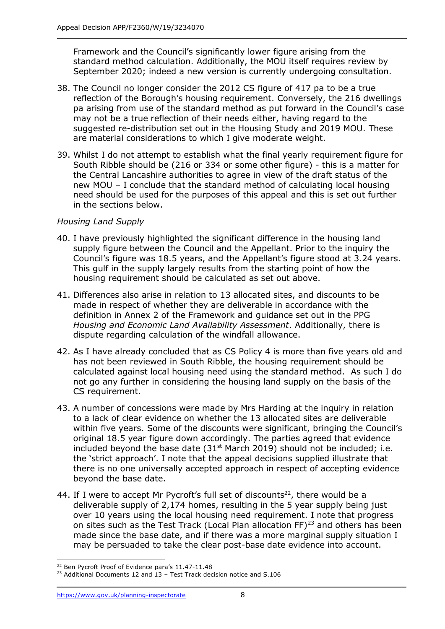Framework and the Council's significantly lower figure arising from the standard method calculation. Additionally, the MOU itself requires review by September 2020; indeed a new version is currently undergoing consultation.

- 38. The Council no longer consider the 2012 CS figure of 417 pa to be a true reflection of the Borough's housing requirement. Conversely, the 216 dwellings pa arising from use of the standard method as put forward in the Council's case may not be a true reflection of their needs either, having regard to the suggested re-distribution set out in the Housing Study and 2019 MOU. These are material considerations to which I give moderate weight.
- 39. Whilst I do not attempt to establish what the final yearly requirement figure for South Ribble should be (216 or 334 or some other figure) - this is a matter for the Central Lancashire authorities to agree in view of the draft status of the new MOU – I conclude that the standard method of calculating local housing need should be used for the purposes of this appeal and this is set out further in the sections below.

#### *Housing Land Supply*

- 40. I have previously highlighted the significant difference in the housing land supply figure between the Council and the Appellant. Prior to the inquiry the Council's figure was 18.5 years, and the Appellant's figure stood at 3.24 years. This gulf in the supply largely results from the starting point of how the housing requirement should be calculated as set out above.
- 41. Differences also arise in relation to 13 allocated sites, and discounts to be made in respect of whether they are deliverable in accordance with the definition in Annex 2 of the Framework and guidance set out in the PPG *Housing and Economic Land Availability Assessment*. Additionally, there is dispute regarding calculation of the windfall allowance.
- 42. As I have already concluded that as CS Policy 4 is more than five years old and has not been reviewed in South Ribble, the housing requirement should be calculated against local housing need using the standard method. As such I do not go any further in considering the housing land supply on the basis of the CS requirement.
- 43. A number of concessions were made by Mrs Harding at the inquiry in relation to a lack of clear evidence on whether the 13 allocated sites are deliverable within five years. Some of the discounts were significant, bringing the Council's original 18.5 year figure down accordingly. The parties agreed that evidence included beyond the base date  $(31<sup>st</sup>$  March 2019) should not be included; i.e. the 'strict approach'. I note that the appeal decisions supplied illustrate that there is no one universally accepted approach in respect of accepting evidence beyond the base date.
- 44. If I were to accept Mr Pycroft's full set of discounts<sup>22</sup>, there would be a deliverable supply of 2,174 homes, resulting in the 5 year supply being just over 10 years using the local housing need requirement. I note that progress on sites such as the Test Track (Local Plan allocation FF)<sup>23</sup> and others has been made since the base date, and if there was a more marginal supply situation I may be persuaded to take the clear post-base date evidence into account.

<sup>-</sup><sup>22</sup> Ben Pycroft Proof of Evidence para's 11.47-11.48

<sup>&</sup>lt;sup>23</sup> Additional Documents 12 and 13 - Test Track decision notice and S.106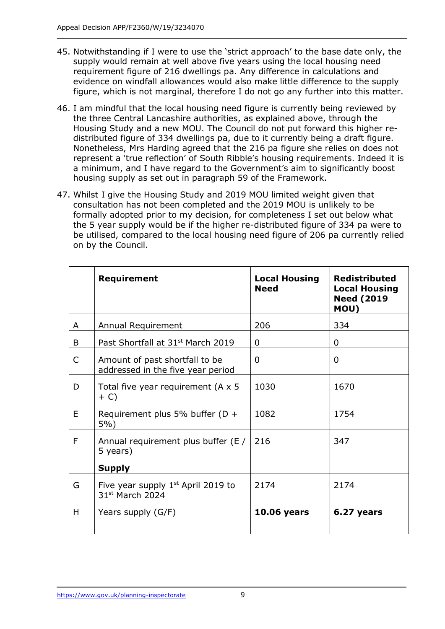- 45. Notwithstanding if I were to use the 'strict approach' to the base date only, the supply would remain at well above five years using the local housing need requirement figure of 216 dwellings pa. Any difference in calculations and evidence on windfall allowances would also make little difference to the supply figure, which is not marginal, therefore I do not go any further into this matter.
- 46. I am mindful that the local housing need figure is currently being reviewed by the three Central Lancashire authorities, as explained above, through the Housing Study and a new MOU. The Council do not put forward this higher redistributed figure of 334 dwellings pa, due to it currently being a draft figure. Nonetheless, Mrs Harding agreed that the 216 pa figure she relies on does not represent a 'true reflection' of South Ribble's housing requirements. Indeed it is a minimum, and I have regard to the Government's aim to significantly boost housing supply as set out in paragraph 59 of the Framework.
- 47. Whilst I give the Housing Study and 2019 MOU limited weight given that consultation has not been completed and the 2019 MOU is unlikely to be formally adopted prior to my decision, for completeness I set out below what the 5 year supply would be if the higher re-distributed figure of 334 pa were to be utilised, compared to the local housing need figure of 206 pa currently relied on by the Council.

|   | Requirement                                                         | <b>Local Housing</b><br><b>Need</b> | <b>Redistributed</b><br><b>Local Housing</b><br><b>Need (2019</b><br>MOU) |
|---|---------------------------------------------------------------------|-------------------------------------|---------------------------------------------------------------------------|
| A | Annual Requirement                                                  | 206                                 | 334                                                                       |
| B | Past Shortfall at 31 <sup>st</sup> March 2019                       | 0                                   | 0                                                                         |
| C | Amount of past shortfall to be<br>addressed in the five year period | $\overline{0}$                      | 0                                                                         |
| D | Total five year requirement (A $\times$ 5<br>$+ C$                  | 1030                                | 1670                                                                      |
| E | Requirement plus 5% buffer ( $D +$<br>$5%$ )                        | 1082                                | 1754                                                                      |
| F | Annual requirement plus buffer (E /<br>5 years)                     | 216                                 | 347                                                                       |
|   | <b>Supply</b>                                                       |                                     |                                                                           |
| G | Five year supply $1st$ April 2019 to<br>31st March 2024             | 2174                                | 2174                                                                      |
| H | Years supply (G/F)                                                  | <b>10.06 years</b>                  | 6.27 years                                                                |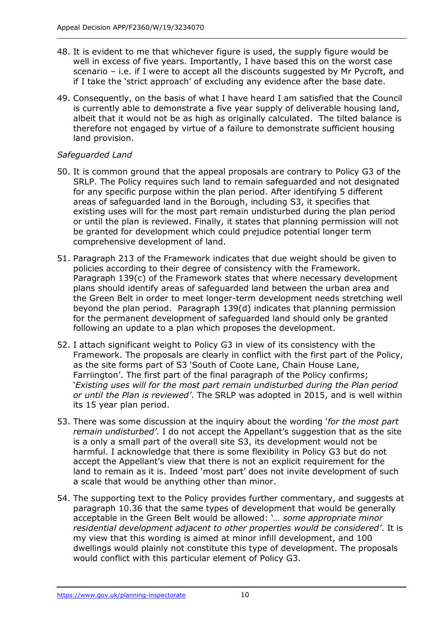- 48. It is evident to me that whichever figure is used, the supply figure would be well in excess of five years. Importantly, I have based this on the worst case scenario – i.e. if I were to accept all the discounts suggested by Mr Pycroft, and if I take the 'strict approach' of excluding any evidence after the base date.
- 49. Consequently, on the basis of what I have heard I am satisfied that the Council is currently able to demonstrate a five year supply of deliverable housing land, albeit that it would not be as high as originally calculated. The tilted balance is therefore not engaged by virtue of a failure to demonstrate sufficient housing land provision.

## *Safeguarded Land*

- 50. It is common ground that the appeal proposals are contrary to Policy G3 of the SRLP. The Policy requires such land to remain safeguarded and not designated for any specific purpose within the plan period. After identifying 5 different areas of safeguarded land in the Borough, including S3, it specifies that existing uses will for the most part remain undisturbed during the plan period or until the plan is reviewed. Finally, it states that planning permission will not be granted for development which could prejudice potential longer term comprehensive development of land.
- 51. Paragraph 213 of the Framework indicates that due weight should be given to policies according to their degree of consistency with the Framework. Paragraph 139(c) of the Framework states that where necessary development plans should identify areas of safeguarded land between the urban area and the Green Belt in order to meet longer-term development needs stretching well beyond the plan period. Paragraph 139(d) indicates that planning permission for the permanent development of safeguarded land should only be granted following an update to a plan which proposes the development.
- 52. I attach significant weight to Policy G3 in view of its consistency with the Framework. The proposals are clearly in conflict with the first part of the Policy, as the site forms part of S3 'South of Coote Lane, Chain House Lane, Farriington'. The first part of the final paragraph of the Policy confirms; '*Existing uses will for the most part remain undisturbed during the Plan period or until the Plan is reviewed'*. The SRLP was adopted in 2015, and is well within its 15 year plan period.
- 53. There was some discussion at the inquiry about the wording '*for the most part remain undisturbed'*. I do not accept the Appellant's suggestion that as the site is a only a small part of the overall site S3, its development would not be harmful. I acknowledge that there is some flexibility in Policy G3 but do not accept the Appellant's view that there is not an explicit requirement for the land to remain as it is. Indeed 'most part' does not invite development of such a scale that would be anything other than minor.
- 54. The supporting text to the Policy provides further commentary, and suggests at paragraph 10.36 that the same types of development that would be generally acceptable in the Green Belt would be allowed: '*… some appropriate minor residential development adjacent to other properties would be considered'*. It is my view that this wording is aimed at minor infill development, and 100 dwellings would plainly not constitute this type of development. The proposals would conflict with this particular element of Policy G3.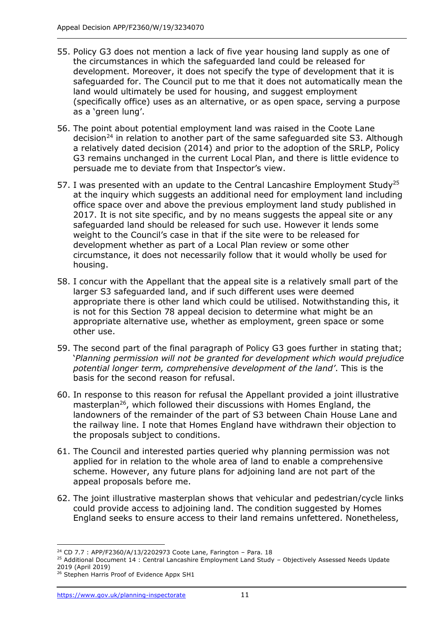- 55. Policy G3 does not mention a lack of five year housing land supply as one of the circumstances in which the safeguarded land could be released for development. Moreover, it does not specify the type of development that it is safeguarded for. The Council put to me that it does not automatically mean the land would ultimately be used for housing, and suggest employment (specifically office) uses as an alternative, or as open space, serving a purpose as a 'green lung'.
- 56. The point about potential employment land was raised in the Coote Lane decision<sup>24</sup> in relation to another part of the same safeguarded site S3. Although a relatively dated decision (2014) and prior to the adoption of the SRLP, Policy G3 remains unchanged in the current Local Plan, and there is little evidence to persuade me to deviate from that Inspector's view.
- 57. I was presented with an update to the Central Lancashire Employment Study<sup>25</sup> at the inquiry which suggests an additional need for employment land including office space over and above the previous employment land study published in 2017. It is not site specific, and by no means suggests the appeal site or any safeguarded land should be released for such use. However it lends some weight to the Council's case in that if the site were to be released for development whether as part of a Local Plan review or some other circumstance, it does not necessarily follow that it would wholly be used for housing.
- 58. I concur with the Appellant that the appeal site is a relatively small part of the larger S3 safeguarded land, and if such different uses were deemed appropriate there is other land which could be utilised. Notwithstanding this, it is not for this Section 78 appeal decision to determine what might be an appropriate alternative use, whether as employment, green space or some other use.
- 59. The second part of the final paragraph of Policy G3 goes further in stating that; '*Planning permission will not be granted for development which would prejudice potential longer term, comprehensive development of the land'*. This is the basis for the second reason for refusal.
- 60. In response to this reason for refusal the Appellant provided a joint illustrative masterplan<sup>26</sup>, which followed their discussions with Homes England, the landowners of the remainder of the part of S3 between Chain House Lane and the railway line. I note that Homes England have withdrawn their objection to the proposals subject to conditions.
- 61. The Council and interested parties queried why planning permission was not applied for in relation to the whole area of land to enable a comprehensive scheme. However, any future plans for adjoining land are not part of the appeal proposals before me.
- 62. The joint illustrative masterplan shows that vehicular and pedestrian/cycle links could provide access to adjoining land. The condition suggested by Homes England seeks to ensure access to their land remains unfettered. Nonetheless,

<sup>-</sup> $24$  CD 7.7 : APP/F2360/A/13/2202973 Coote Lane, Farington - Para. 18

<sup>&</sup>lt;sup>25</sup> Additional Document 14 : Central Lancashire Employment Land Study - Objectively Assessed Needs Update 2019 (April 2019)

<sup>&</sup>lt;sup>26</sup> Stephen Harris Proof of Evidence Appx SH1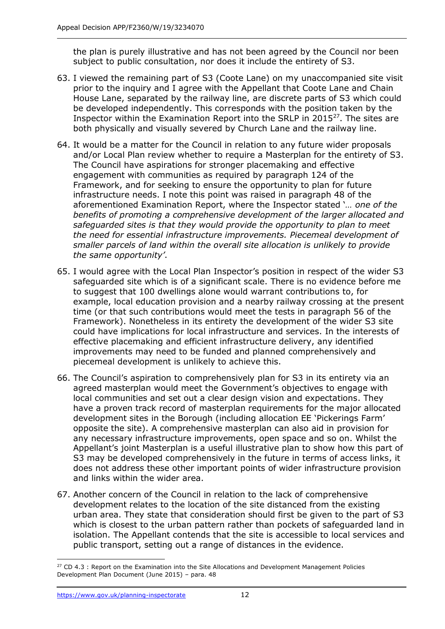the plan is purely illustrative and has not been agreed by the Council nor been subject to public consultation, nor does it include the entirety of S3.

- 63. I viewed the remaining part of S3 (Coote Lane) on my unaccompanied site visit prior to the inquiry and I agree with the Appellant that Coote Lane and Chain House Lane, separated by the railway line, are discrete parts of S3 which could be developed independently. This corresponds with the position taken by the Inspector within the Examination Report into the SRLP in 2015<sup>27</sup>. The sites are both physically and visually severed by Church Lane and the railway line.
- 64. It would be a matter for the Council in relation to any future wider proposals and/or Local Plan review whether to require a Masterplan for the entirety of S3. The Council have aspirations for stronger placemaking and effective engagement with communities as required by paragraph 124 of the Framework, and for seeking to ensure the opportunity to plan for future infrastructure needs. I note this point was raised in paragraph 48 of the aforementioned Examination Report, where the Inspector stated '*… one of the benefits of promoting a comprehensive development of the larger allocated and safeguarded sites is that they would provide the opportunity to plan to meet the need for essential infrastructure improvements. Piecemeal development of smaller parcels of land within the overall site allocation is unlikely to provide the same opportunity'*.
- 65. I would agree with the Local Plan Inspector's position in respect of the wider S3 safeguarded site which is of a significant scale. There is no evidence before me to suggest that 100 dwellings alone would warrant contributions to, for example, local education provision and a nearby railway crossing at the present time (or that such contributions would meet the tests in paragraph 56 of the Framework). Nonetheless in its entirety the development of the wider S3 site could have implications for local infrastructure and services. In the interests of effective placemaking and efficient infrastructure delivery, any identified improvements may need to be funded and planned comprehensively and piecemeal development is unlikely to achieve this.
- 66. The Council's aspiration to comprehensively plan for S3 in its entirety via an agreed masterplan would meet the Government's objectives to engage with local communities and set out a clear design vision and expectations. They have a proven track record of masterplan requirements for the major allocated development sites in the Borough (including allocation EE 'Pickerings Farm' opposite the site). A comprehensive masterplan can also aid in provision for any necessary infrastructure improvements, open space and so on. Whilst the Appellant's joint Masterplan is a useful illustrative plan to show how this part of S3 may be developed comprehensively in the future in terms of access links, it does not address these other important points of wider infrastructure provision and links within the wider area.
- 67. Another concern of the Council in relation to the lack of comprehensive development relates to the location of the site distanced from the existing urban area. They state that consideration should first be given to the part of S3 which is closest to the urban pattern rather than pockets of safeguarded land in isolation. The Appellant contends that the site is accessible to local services and public transport, setting out a range of distances in the evidence.

<sup>-</sup> $27$  CD 4.3 : Report on the Examination into the Site Allocations and Development Management Policies Development Plan Document (June 2015) – para. 48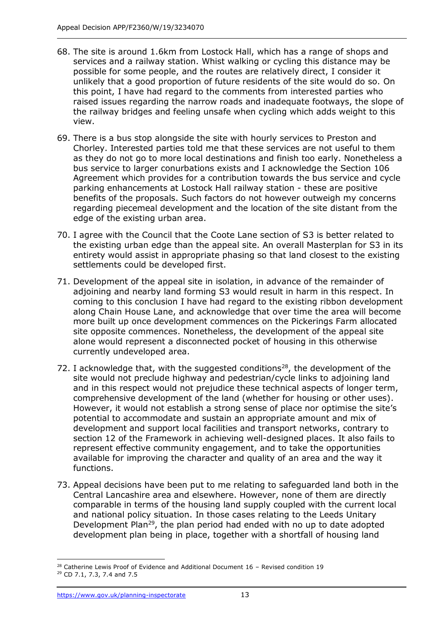- 68. The site is around 1.6km from Lostock Hall, which has a range of shops and services and a railway station. Whist walking or cycling this distance may be possible for some people, and the routes are relatively direct, I consider it unlikely that a good proportion of future residents of the site would do so. On this point, I have had regard to the comments from interested parties who raised issues regarding the narrow roads and inadequate footways, the slope of the railway bridges and feeling unsafe when cycling which adds weight to this view.
- 69. There is a bus stop alongside the site with hourly services to Preston and Chorley. Interested parties told me that these services are not useful to them as they do not go to more local destinations and finish too early. Nonetheless a bus service to larger conurbations exists and I acknowledge the Section 106 Agreement which provides for a contribution towards the bus service and cycle parking enhancements at Lostock Hall railway station - these are positive benefits of the proposals. Such factors do not however outweigh my concerns regarding piecemeal development and the location of the site distant from the edge of the existing urban area.
- 70. I agree with the Council that the Coote Lane section of S3 is better related to the existing urban edge than the appeal site. An overall Masterplan for S3 in its entirety would assist in appropriate phasing so that land closest to the existing settlements could be developed first.
- 71. Development of the appeal site in isolation, in advance of the remainder of adjoining and nearby land forming S3 would result in harm in this respect. In coming to this conclusion I have had regard to the existing ribbon development along Chain House Lane, and acknowledge that over time the area will become more built up once development commences on the Pickerings Farm allocated site opposite commences. Nonetheless, the development of the appeal site alone would represent a disconnected pocket of housing in this otherwise currently undeveloped area.
- 72. I acknowledge that, with the suggested conditions<sup>28</sup>, the development of the site would not preclude highway and pedestrian/cycle links to adjoining land and in this respect would not prejudice these technical aspects of longer term, comprehensive development of the land (whether for housing or other uses). However, it would not establish a strong sense of place nor optimise the site's potential to accommodate and sustain an appropriate amount and mix of development and support local facilities and transport networks, contrary to section 12 of the Framework in achieving well-designed places. It also fails to represent effective community engagement, and to take the opportunities available for improving the character and quality of an area and the way it functions.
- 73. Appeal decisions have been put to me relating to safeguarded land both in the Central Lancashire area and elsewhere. However, none of them are directly comparable in terms of the housing land supply coupled with the current local and national policy situation. In those cases relating to the Leeds Unitary Development Plan<sup>29</sup>, the plan period had ended with no up to date adopted development plan being in place, together with a shortfall of housing land

<sup>-</sup> $28$  Catherine Lewis Proof of Evidence and Additional Document 16 - Revised condition 19

<sup>29</sup> CD 7.1, 7.3, 7.4 and 7.5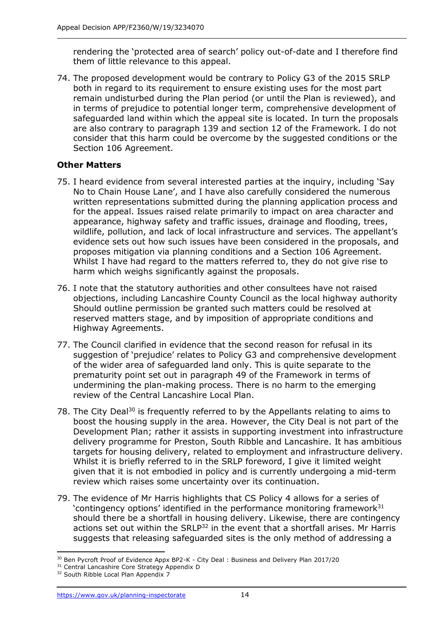rendering the 'protected area of search' policy out-of-date and I therefore find them of little relevance to this appeal.

74. The proposed development would be contrary to Policy G3 of the 2015 SRLP both in regard to its requirement to ensure existing uses for the most part remain undisturbed during the Plan period (or until the Plan is reviewed), and in terms of prejudice to potential longer term, comprehensive development of safeguarded land within which the appeal site is located. In turn the proposals are also contrary to paragraph 139 and section 12 of the Framework. I do not consider that this harm could be overcome by the suggested conditions or the Section 106 Agreement.

## **Other Matters**

- 75. I heard evidence from several interested parties at the inquiry, including 'Say No to Chain House Lane', and I have also carefully considered the numerous written representations submitted during the planning application process and for the appeal. Issues raised relate primarily to impact on area character and appearance, highway safety and traffic issues, drainage and flooding, trees, wildlife, pollution, and lack of local infrastructure and services. The appellant's evidence sets out how such issues have been considered in the proposals, and proposes mitigation via planning conditions and a Section 106 Agreement. Whilst I have had regard to the matters referred to, they do not give rise to harm which weighs significantly against the proposals.
- 76. I note that the statutory authorities and other consultees have not raised objections, including Lancashire County Council as the local highway authority Should outline permission be granted such matters could be resolved at reserved matters stage, and by imposition of appropriate conditions and Highway Agreements.
- 77. The Council clarified in evidence that the second reason for refusal in its suggestion of 'prejudice' relates to Policy G3 and comprehensive development of the wider area of safeguarded land only. This is quite separate to the prematurity point set out in paragraph 49 of the Framework in terms of undermining the plan-making process. There is no harm to the emerging review of the Central Lancashire Local Plan.
- 78. The City Deal<sup>30</sup> is frequently referred to by the Appellants relating to aims to boost the housing supply in the area. However, the City Deal is not part of the Development Plan; rather it assists in supporting investment into infrastructure delivery programme for Preston, South Ribble and Lancashire. It has ambitious targets for housing delivery, related to employment and infrastructure delivery. Whilst it is briefly referred to in the SRLP foreword, I give it limited weight given that it is not embodied in policy and is currently undergoing a mid-term review which raises some uncertainty over its continuation.
- 79. The evidence of Mr Harris highlights that CS Policy 4 allows for a series of 'contingency options' identified in the performance monitoring framework $31$ should there be a shortfall in housing delivery. Likewise, there are contingency actions set out within the SRLP<sup>32</sup> in the event that a shortfall arises. Mr Harris suggests that releasing safeguarded sites is the only method of addressing a

 $\overline{a}$ <sup>30</sup> Ben Pycroft Proof of Evidence Appx BP2-K - City Deal : Business and Delivery Plan 2017/20

<sup>&</sup>lt;sup>31</sup> Central Lancashire Core Strategy Appendix D

<sup>&</sup>lt;sup>32</sup> South Ribble Local Plan Appendix 7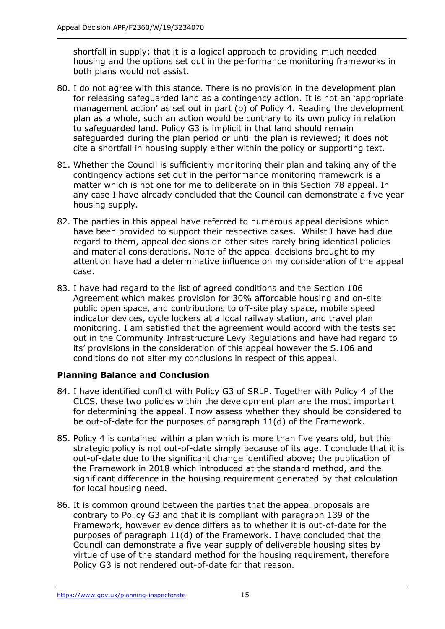shortfall in supply; that it is a logical approach to providing much needed housing and the options set out in the performance monitoring frameworks in both plans would not assist.

- 80. I do not agree with this stance. There is no provision in the development plan for releasing safeguarded land as a contingency action. It is not an 'appropriate management action' as set out in part (b) of Policy 4. Reading the development plan as a whole, such an action would be contrary to its own policy in relation to safeguarded land. Policy G3 is implicit in that land should remain safeguarded during the plan period or until the plan is reviewed; it does not cite a shortfall in housing supply either within the policy or supporting text.
- 81. Whether the Council is sufficiently monitoring their plan and taking any of the contingency actions set out in the performance monitoring framework is a matter which is not one for me to deliberate on in this Section 78 appeal. In any case I have already concluded that the Council can demonstrate a five year housing supply.
- 82. The parties in this appeal have referred to numerous appeal decisions which have been provided to support their respective cases. Whilst I have had due regard to them, appeal decisions on other sites rarely bring identical policies and material considerations. None of the appeal decisions brought to my attention have had a determinative influence on my consideration of the appeal case.
- 83. I have had regard to the list of agreed conditions and the Section 106 Agreement which makes provision for 30% affordable housing and on-site public open space, and contributions to off-site play space, mobile speed indicator devices, cycle lockers at a local railway station, and travel plan monitoring. I am satisfied that the agreement would accord with the tests set out in the Community Infrastructure Levy Regulations and have had regard to its' provisions in the consideration of this appeal however the S.106 and conditions do not alter my conclusions in respect of this appeal.

## **Planning Balance and Conclusion**

- 84. I have identified conflict with Policy G3 of SRLP. Together with Policy 4 of the CLCS, these two policies within the development plan are the most important for determining the appeal. I now assess whether they should be considered to be out-of-date for the purposes of paragraph 11(d) of the Framework.
- 85. Policy 4 is contained within a plan which is more than five years old, but this strategic policy is not out-of-date simply because of its age. I conclude that it is out-of-date due to the significant change identified above; the publication of the Framework in 2018 which introduced at the standard method, and the significant difference in the housing requirement generated by that calculation for local housing need.
- 86. It is common ground between the parties that the appeal proposals are contrary to Policy G3 and that it is compliant with paragraph 139 of the Framework, however evidence differs as to whether it is out-of-date for the purposes of paragraph 11(d) of the Framework. I have concluded that the Council can demonstrate a five year supply of deliverable housing sites by virtue of use of the standard method for the housing requirement, therefore Policy G3 is not rendered out-of-date for that reason.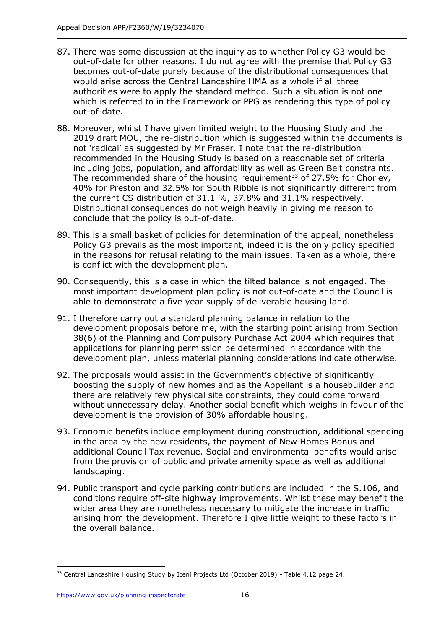- 87. There was some discussion at the inquiry as to whether Policy G3 would be out-of-date for other reasons. I do not agree with the premise that Policy G3 becomes out-of-date purely because of the distributional consequences that would arise across the Central Lancashire HMA as a whole if all three authorities were to apply the standard method. Such a situation is not one which is referred to in the Framework or PPG as rendering this type of policy out-of-date.
- 88. Moreover, whilst I have given limited weight to the Housing Study and the 2019 draft MOU, the re-distribution which is suggested within the documents is not 'radical' as suggested by Mr Fraser. I note that the re-distribution recommended in the Housing Study is based on a reasonable set of criteria including jobs, population, and affordability as well as Green Belt constraints. The recommended share of the housing requirement<sup>33</sup> of 27.5% for Chorley, 40% for Preston and 32.5% for South Ribble is not significantly different from the current CS distribution of 31.1 %, 37.8% and 31.1% respectively. Distributional consequences do not weigh heavily in giving me reason to conclude that the policy is out-of-date.
- 89. This is a small basket of policies for determination of the appeal, nonetheless Policy G3 prevails as the most important, indeed it is the only policy specified in the reasons for refusal relating to the main issues. Taken as a whole, there is conflict with the development plan.
- 90. Consequently, this is a case in which the tilted balance is not engaged. The most important development plan policy is not out-of-date and the Council is able to demonstrate a five year supply of deliverable housing land.
- 91. I therefore carry out a standard planning balance in relation to the development proposals before me, with the starting point arising from Section 38(6) of the Planning and Compulsory Purchase Act 2004 which requires that applications for planning permission be determined in accordance with the development plan, unless material planning considerations indicate otherwise.
- 92. The proposals would assist in the Government's objective of significantly boosting the supply of new homes and as the Appellant is a housebuilder and there are relatively few physical site constraints, they could come forward without unnecessary delay. Another social benefit which weighs in favour of the development is the provision of 30% affordable housing.
- 93. Economic benefits include employment during construction, additional spending in the area by the new residents, the payment of New Homes Bonus and additional Council Tax revenue. Social and environmental benefits would arise from the provision of public and private amenity space as well as additional landscaping.
- 94. Public transport and cycle parking contributions are included in the S.106, and conditions require off-site highway improvements. Whilst these may benefit the wider area they are nonetheless necessary to mitigate the increase in traffic arising from the development. Therefore I give little weight to these factors in the overall balance.

j <sup>33</sup> Central Lancashire Housing Study by Iceni Projects Ltd (October 2019) - Table 4.12 page 24.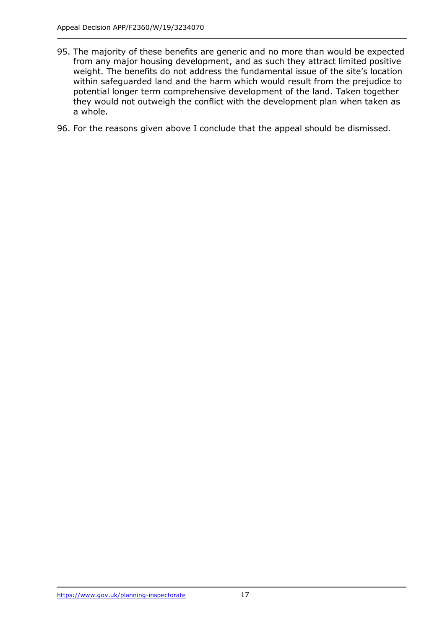- 95. The majority of these benefits are generic and no more than would be expected from any major housing development, and as such they attract limited positive weight. The benefits do not address the fundamental issue of the site's location within safeguarded land and the harm which would result from the prejudice to potential longer term comprehensive development of the land. Taken together they would not outweigh the conflict with the development plan when taken as a whole.
- 96. For the reasons given above I conclude that the appeal should be dismissed.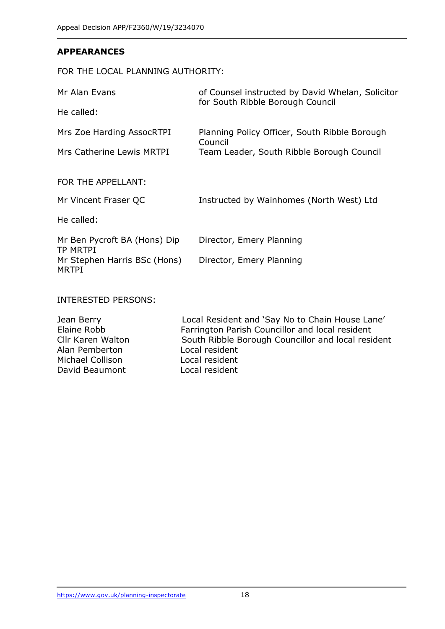#### **APPEARANCES**

## FOR THE LOCAL PLANNING AUTHORITY:

| Mr Alan Evans                                   | of Counsel instructed by David Whelan, Solicitor<br>for South Ribble Borough Council |  |  |
|-------------------------------------------------|--------------------------------------------------------------------------------------|--|--|
| He called:                                      |                                                                                      |  |  |
| Mrs Zoe Harding AssocRTPI                       | Planning Policy Officer, South Ribble Borough<br>Council                             |  |  |
| Mrs Catherine Lewis MRTPI                       | Team Leader, South Ribble Borough Council                                            |  |  |
| FOR THE APPELLANT:                              |                                                                                      |  |  |
| Mr Vincent Fraser QC                            | Instructed by Wainhomes (North West) Ltd                                             |  |  |
| He called:                                      |                                                                                      |  |  |
| Mr Ben Pycroft BA (Hons) Dip<br><b>TP MRTPI</b> | Director, Emery Planning                                                             |  |  |
| Mr Stephen Harris BSc (Hons)<br><b>MRTPI</b>    | Director, Emery Planning                                                             |  |  |
|                                                 |                                                                                      |  |  |

INTERESTED PERSONS:

| Local Resident and 'Say No to Chain House Lane'    |
|----------------------------------------------------|
| Farrington Parish Councillor and local resident    |
| South Ribble Borough Councillor and local resident |
| Local resident                                     |
| Local resident                                     |
| Local resident                                     |
|                                                    |